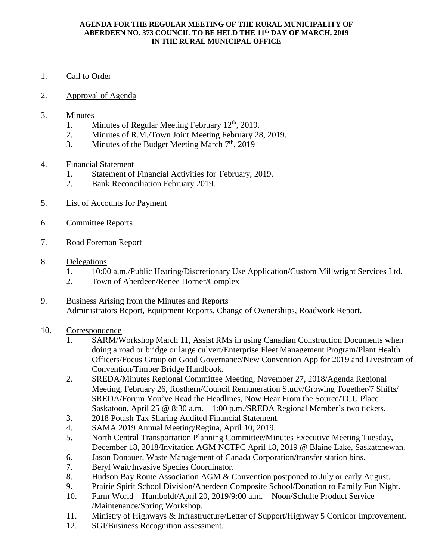\_\_\_\_\_\_\_\_\_\_\_\_\_\_\_\_\_\_\_\_\_\_\_\_\_\_\_\_\_\_\_\_\_\_\_\_\_\_\_\_\_\_\_\_\_\_\_\_\_\_\_\_\_\_\_\_\_\_\_\_\_\_\_\_\_\_\_\_\_\_\_\_\_\_\_\_\_\_\_\_\_\_\_\_\_\_\_\_\_\_\_\_\_\_\_\_\_\_\_\_\_\_\_\_\_\_\_\_

## 1. Call to Order

- 2. Approval of Agenda
- 3. Minutes
	- 1. Minutes of Regular Meeting February 12<sup>th</sup>, 2019.
	- 2. Minutes of R.M./Town Joint Meeting February 28, 2019.
	- 3. Minutes of the Budget Meeting March  $7<sup>th</sup>$ , 2019
- 4. Financial Statement
	- 1. Statement of Financial Activities for February, 2019.
	- 2. Bank Reconciliation February 2019.
- 5. List of Accounts for Payment
- 6. Committee Reports
- 7. Road Foreman Report
- 8. Delegations
	- 1. 10:00 a.m./Public Hearing/Discretionary Use Application/Custom Millwright Services Ltd.
	- 2. Town of Aberdeen/Renee Horner/Complex
- 9. Business Arising from the Minutes and Reports Administrators Report, Equipment Reports, Change of Ownerships, Roadwork Report.
- 10. Correspondence
	- 1. SARM/Workshop March 11, Assist RMs in using Canadian Construction Documents when doing a road or bridge or large culvert/Enterprise Fleet Management Program/Plant Health Officers/Focus Group on Good Governance/New Convention App for 2019 and Livestream of Convention/Timber Bridge Handbook.
	- 2. SREDA/Minutes Regional Committee Meeting, November 27, 2018/Agenda Regional Meeting, February 26, Rosthern/Council Remuneration Study/Growing Together/7 Shifts/ SREDA/Forum You've Read the Headlines, Now Hear From the Source/TCU Place Saskatoon, April 25 @ 8:30 a.m. – 1:00 p.m./SREDA Regional Member's two tickets.
	- 3. 2018 Potash Tax Sharing Audited Financial Statement.
	- 4. SAMA 2019 Annual Meeting/Regina, April 10, 2019.
	- 5. North Central Transportation Planning Committee/Minutes Executive Meeting Tuesday, December 18, 2018/Invitation AGM NCTPC April 18, 2019 @ Blaine Lake, Saskatchewan.
	- 6. Jason Donauer, Waste Management of Canada Corporation/transfer station bins.
	- 7. Beryl Wait/Invasive Species Coordinator.
	- 8. Hudson Bay Route Association AGM & Convention postponed to July or early August.
	- 9. Prairie Spirit School Division/Aberdeen Composite School/Donation to Family Fun Night.
	- 10. Farm World Humboldt/April 20, 2019/9:00 a.m. Noon/Schulte Product Service /Maintenance/Spring Workshop.
	- 11. Ministry of Highways & Infrastructure/Letter of Support/Highway 5 Corridor Improvement.
	- 12. SGI/Business Recognition assessment.